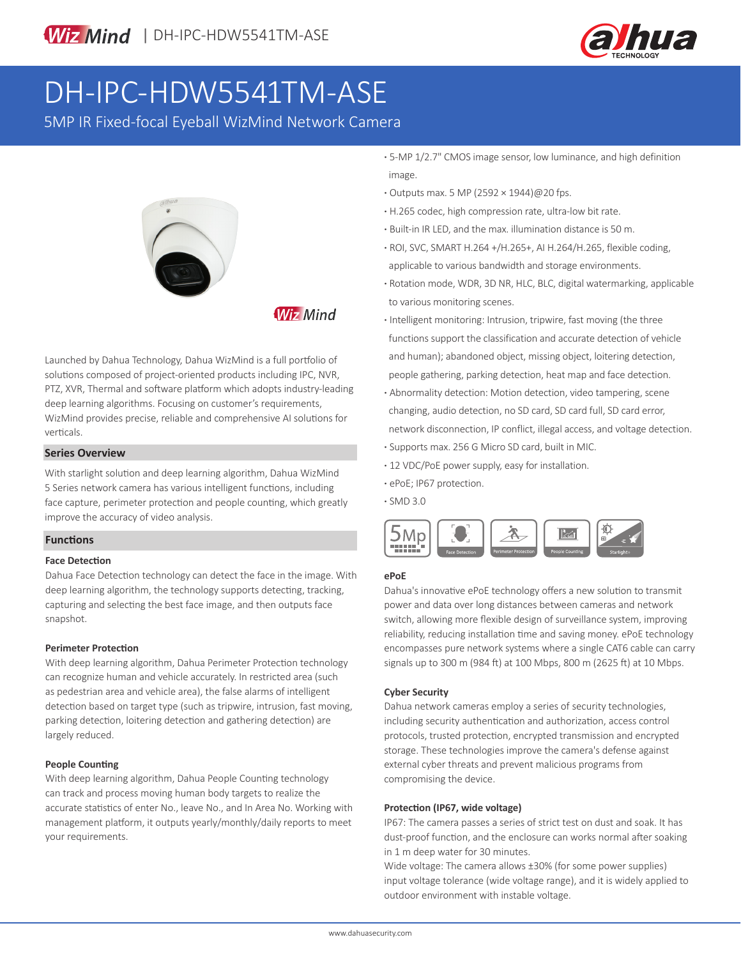

# DH-IPC-HDW5541TM-ASE

5MP IR Fixed-focal Eyeball WizMind Network Camera



### **Wiz Mind**

Launched by Dahua Technology, Dahua WizMind is a full portfolio of solutions composed of project-oriented products including IPC, NVR, PTZ, XVR, Thermal and software platform which adopts industry-leading deep learning algorithms. Focusing on customer's requirements, WizMind provides precise, reliable and comprehensive AI solutions for verticals.

#### **Series Overview**

With starlight solution and deep learning algorithm, Dahua WizMind 5 Series network camera has various intelligent functions, including face capture, perimeter protection and people counting, which greatly improve the accuracy of video analysis.

#### **Functions**

#### **Face Detection**

Dahua Face Detection technology can detect the face in the image. With deep learning algorithm, the technology supports detecting, tracking, capturing and selecting the best face image, and then outputs face snapshot.

#### **Perimeter Protection**

With deep learning algorithm, Dahua Perimeter Protection technology can recognize human and vehicle accurately. In restricted area (such as pedestrian area and vehicle area), the false alarms of intelligent detection based on target type (such as tripwire, intrusion, fast moving, parking detection, loitering detection and gathering detection) are largely reduced.

#### **People Counting**

With deep learning algorithm, Dahua People Counting technology can track and process moving human body targets to realize the accurate statistics of enter No., leave No., and In Area No. Working with management platform, it outputs yearly/monthly/daily reports to meet your requirements.

- **·** 5-MP 1/2.7" CMOS image sensor, low luminance, and high definition image.
- **·** Outputs max. 5 MP (2592 × 1944)@20 fps.
- **·** H.265 codec, high compression rate, ultra-low bit rate.
- **·** Built-in IR LED, and the max. illumination distance is 50 m.
- **·** ROI, SVC, SMART H.264 +/H.265+, AI H.264/H.265, flexible coding, applicable to various bandwidth and storage environments.
- **·** Rotation mode, WDR, 3D NR, HLC, BLC, digital watermarking, applicable to various monitoring scenes.
- **·** Intelligent monitoring: Intrusion, tripwire, fast moving (the three functions support the classification and accurate detection of vehicle and human); abandoned object, missing object, loitering detection, people gathering, parking detection, heat map and face detection.
- **·** Abnormality detection: Motion detection, video tampering, scene changing, audio detection, no SD card, SD card full, SD card error, network disconnection, IP conflict, illegal access, and voltage detection.
- **·** Supports max. 256 G Micro SD card, built in MIC.
- **·** 12 VDC/PoE power supply, easy for installation.
- **·** ePoE; IP67 protection.
- **·** SMD 3.0



#### **ePoE**

Dahua's innovative ePoE technology offers a new solution to transmit power and data over long distances between cameras and network switch, allowing more flexible design of surveillance system, improving reliability, reducing installation time and saving money. ePoE technology encompasses pure network systems where a single CAT6 cable can carry signals up to 300 m (984 ft) at 100 Mbps, 800 m (2625 ft) at 10 Mbps.

#### **Cyber Security**

Dahua network cameras employ a series of security technologies, including security authentication and authorization, access control protocols, trusted protection, encrypted transmission and encrypted storage. These technologies improve the camera's defense against external cyber threats and prevent malicious programs from compromising the device.

#### **Protection (IP67, wide voltage)**

IP67: The camera passes a series of strict test on dust and soak. It has dust-proof function, and the enclosure can works normal after soaking in 1 m deep water for 30 minutes.

Wide voltage: The camera allows ±30% (for some power supplies) input voltage tolerance (wide voltage range), and it is widely applied to outdoor environment with instable voltage.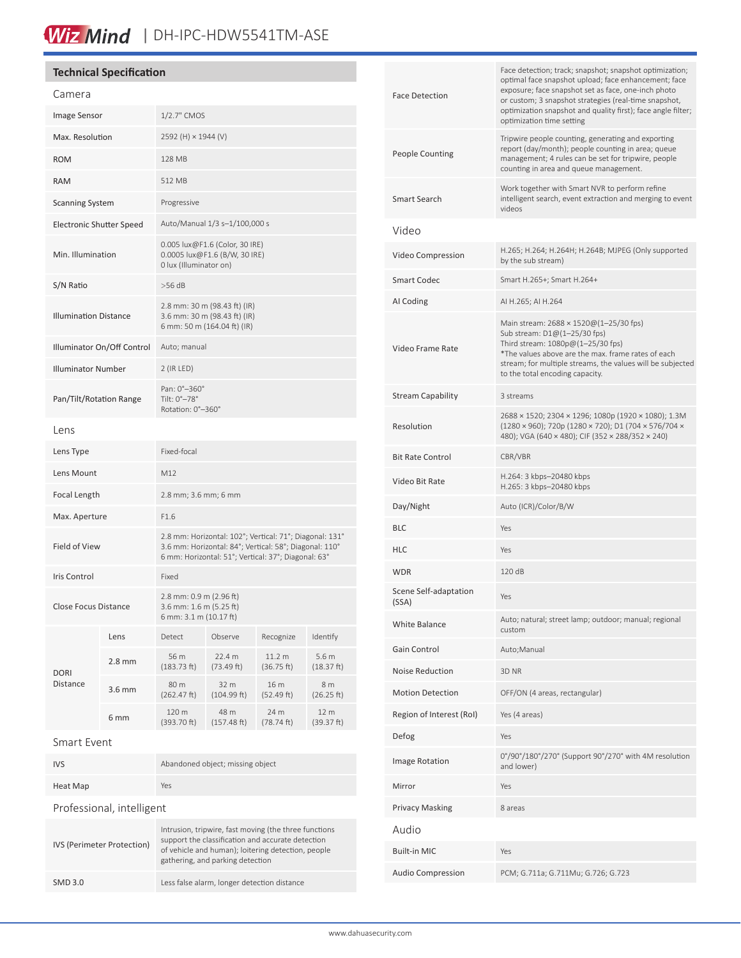## Wiz Mind | DH-IPC-HDW5541TM-ASE

#### **Technical Specification**

IVS (Perimeter Protection)

| Camera                          |                  |                                                                                                                                                                          |                      |                      |                                |
|---------------------------------|------------------|--------------------------------------------------------------------------------------------------------------------------------------------------------------------------|----------------------|----------------------|--------------------------------|
| Image Sensor                    |                  | 1/2.7" CMOS                                                                                                                                                              |                      |                      |                                |
| Max. Resolution                 |                  | 2592 (H) × 1944 (V)                                                                                                                                                      |                      |                      |                                |
| <b>ROM</b>                      |                  | 128 MB                                                                                                                                                                   |                      |                      |                                |
| <b>RAM</b>                      |                  | 512 MB                                                                                                                                                                   |                      |                      |                                |
| Scanning System                 |                  | Progressive                                                                                                                                                              |                      |                      |                                |
| <b>Electronic Shutter Speed</b> |                  | Auto/Manual 1/3 s-1/100,000 s                                                                                                                                            |                      |                      |                                |
| Min. Illumination               |                  | 0.005 lux@F1.6 (Color, 30 IRE)<br>0.0005 lux@F1.6 (B/W, 30 IRE)<br>0 lux (Illuminator on)                                                                                |                      |                      |                                |
| S/N Ratio                       |                  | $>56$ dB                                                                                                                                                                 |                      |                      |                                |
| <b>Illumination Distance</b>    |                  | 2.8 mm: 30 m (98.43 ft) (IR)<br>3.6 mm: 30 m (98.43 ft) (IR)<br>6 mm: 50 m (164.04 ft) (IR)                                                                              |                      |                      |                                |
| Illuminator On/Off Control      |                  | Auto; manual                                                                                                                                                             |                      |                      |                                |
| <b>Illuminator Number</b>       |                  | 2 (IR LED)                                                                                                                                                               |                      |                      |                                |
| Pan/Tilt/Rotation Range         |                  | Pan: 0°-360°<br>Tilt: 0°-78°<br>Rotation: 0°-360°                                                                                                                        |                      |                      |                                |
| Lens                            |                  |                                                                                                                                                                          |                      |                      |                                |
| Lens Type                       |                  | Fixed-focal                                                                                                                                                              |                      |                      |                                |
| Lens Mount                      |                  | M12                                                                                                                                                                      |                      |                      |                                |
| <b>Focal Length</b>             |                  | 2.8 mm; 3.6 mm; 6 mm                                                                                                                                                     |                      |                      |                                |
| Max. Aperture                   |                  | F1.6                                                                                                                                                                     |                      |                      |                                |
| <b>Field of View</b>            |                  | 2.8 mm: Horizontal: 102°; Vertical: 71°; Diagonal: 131°<br>3.6 mm: Horizontal: 84°; Vertical: 58°; Diagonal: 110°<br>6 mm: Horizontal: 51°; Vertical: 37°; Diagonal: 63° |                      |                      |                                |
| Iris Control                    |                  | Fixed                                                                                                                                                                    |                      |                      |                                |
| <b>Close Focus Distance</b>     |                  | 2.8 mm: 0.9 m (2.96 ft)<br>3.6 mm: 1.6 m (5.25 ft)<br>6 mm: 3.1 m (10.17 ft)                                                                                             |                      |                      |                                |
| <b>DORI</b><br>Distance         | Lens             | Detect                                                                                                                                                                   | Observe              | Recognize            | Identify                       |
|                                 | $2.8 \text{ mm}$ | 56 m<br>(183.73 ft)                                                                                                                                                      | 22.4 m<br>(73.49 ft) | 11.2 m<br>(36.75 ft) | 5.6 <sub>m</sub><br>(18.37 ft) |
|                                 | $3.6$ mm         | 80 m<br>(262.47 ft)                                                                                                                                                      | 32 m<br>(104.99 ft)  | 16 m<br>(52.49 ft)   | 8 m<br>(26.25 ft)              |
|                                 | 6 <sub>mm</sub>  | 120 m<br>(393.70 ft)                                                                                                                                                     | 48 m<br>(157.48 ft)  | 24 m<br>(78.74 ft)   | 12 m<br>(39.37 ft)             |
| Smart Event                     |                  |                                                                                                                                                                          |                      |                      |                                |
| IVS                             |                  | Abandoned object; missing object                                                                                                                                         |                      |                      |                                |
| Heat Map                        |                  | Yes                                                                                                                                                                      |                      |                      |                                |
| Professional, intelligent       |                  |                                                                                                                                                                          |                      |                      |                                |

Intrusion, tripwire, fast moving (the three functions support the classification and accurate detection of vehicle and human); loitering detection, people

gathering, and parking detection

SMD 3.0 Less false alarm, longer detection distance

| exposure; face snapshot set as face, one-inch photo<br>or custom; 3 snapshot strategies (real-time snapshot,<br>optimization snapshot and quality first); face angle filter;<br>optimization time setting                                                          |  |  |  |
|--------------------------------------------------------------------------------------------------------------------------------------------------------------------------------------------------------------------------------------------------------------------|--|--|--|
| Tripwire people counting, generating and exporting<br>report (day/month); people counting in area; queue<br>management; 4 rules can be set for tripwire, people<br>counting in area and queue management.                                                          |  |  |  |
| Work together with Smart NVR to perform refine<br>intelligent search, event extraction and merging to event<br>videos                                                                                                                                              |  |  |  |
|                                                                                                                                                                                                                                                                    |  |  |  |
| H.265; H.264; H.264H; H.264B; MJPEG (Only supported<br>by the sub stream)                                                                                                                                                                                          |  |  |  |
| Smart H.265+; Smart H.264+                                                                                                                                                                                                                                         |  |  |  |
| AI H.265; AI H.264                                                                                                                                                                                                                                                 |  |  |  |
| Main stream: 2688 × 1520@(1-25/30 fps)<br>Sub stream: D1@(1-25/30 fps)<br>Third stream: 1080p@(1-25/30 fps)<br>*The values above are the max. frame rates of each<br>stream; for multiple streams, the values will be subjected<br>to the total encoding capacity. |  |  |  |
| 3 streams                                                                                                                                                                                                                                                          |  |  |  |
| 2688 × 1520; 2304 × 1296; 1080p (1920 × 1080); 1.3M<br>(1280 × 960); 720p (1280 × 720); D1 (704 × 576/704 ×<br>480); VGA (640 × 480); CIF (352 × 288/352 × 240)                                                                                                    |  |  |  |
| CBR/VBR                                                                                                                                                                                                                                                            |  |  |  |
| H.264: 3 kbps-20480 kbps<br>H.265: 3 kbps-20480 kbps                                                                                                                                                                                                               |  |  |  |
| Auto (ICR)/Color/B/W                                                                                                                                                                                                                                               |  |  |  |
| Yes                                                                                                                                                                                                                                                                |  |  |  |
| Yes                                                                                                                                                                                                                                                                |  |  |  |
| 120 dB                                                                                                                                                                                                                                                             |  |  |  |
| Yes                                                                                                                                                                                                                                                                |  |  |  |
| Auto; natural; street lamp; outdoor; manual; regional<br>custom                                                                                                                                                                                                    |  |  |  |
| Auto; Manual                                                                                                                                                                                                                                                       |  |  |  |
| 3D NR                                                                                                                                                                                                                                                              |  |  |  |
| OFF/ON (4 areas, rectangular)                                                                                                                                                                                                                                      |  |  |  |
| Yes (4 areas)                                                                                                                                                                                                                                                      |  |  |  |
| Yes                                                                                                                                                                                                                                                                |  |  |  |
| 0°/90°/180°/270° (Support 90°/270° with 4M resolution<br>and lower)                                                                                                                                                                                                |  |  |  |
| Yes                                                                                                                                                                                                                                                                |  |  |  |
| 8 areas                                                                                                                                                                                                                                                            |  |  |  |
|                                                                                                                                                                                                                                                                    |  |  |  |
| Yes                                                                                                                                                                                                                                                                |  |  |  |
| PCM; G.711a; G.711Mu; G.726; G.723                                                                                                                                                                                                                                 |  |  |  |
|                                                                                                                                                                                                                                                                    |  |  |  |

Face detection; track; snapshot; snapshot optimization; optimal face snapshot upload; face enhancement; face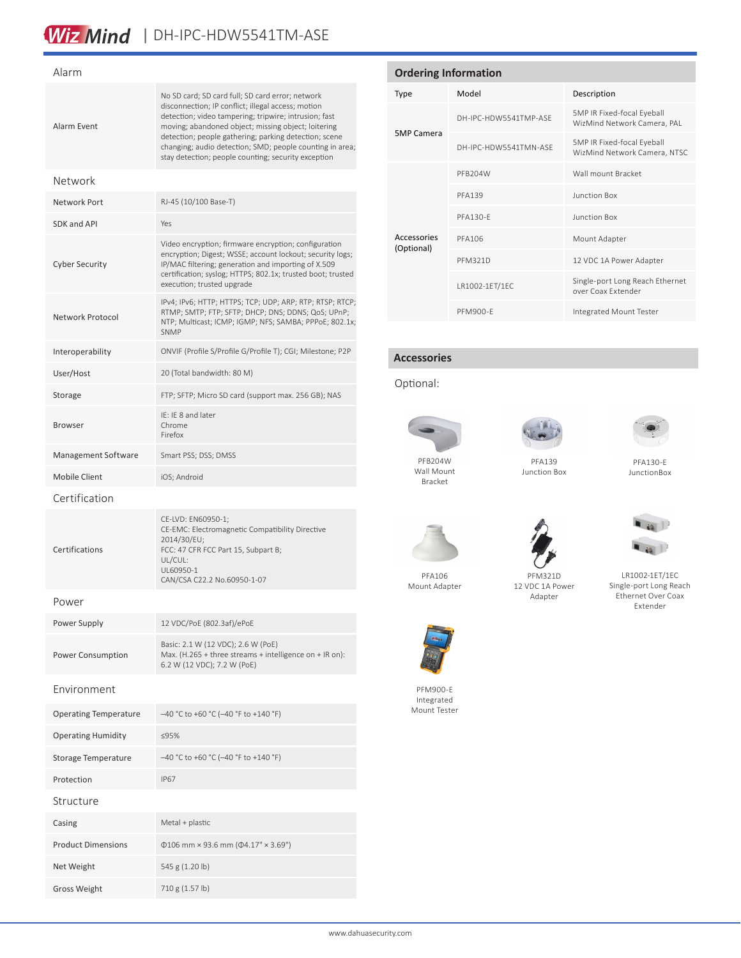## Wiz Mind | DH-IPC-HDW5541TM-ASE

#### Alarm Alarm Event No SD card; SD card full; SD card error; network disconnection; IP conflict; illegal access; motion detection; video tampering; tripwire; intrusion; fast moving; abandoned object; missing object; loitering detection; people gathering; parking detection; scene changing; audio detection; SMD; people counting in area; stay detection; people counting; security exception Network Network Port RJ-45 (10/100 Base-T) SDK and API Yes Cyber Security Video encryption; firmware encryption; configuration encryption; Digest; WSSE; account lockout; security logs; IP/MAC filtering; generation and importing of X.509 certification; syslog; HTTPS; 802.1x; trusted boot; trusted execution; trusted upgrade Network Protocol IPv4; IPv6; HTTP; HTTPS; TCP; UDP; ARP; RTP; RTSP; RTCP; RTMP; SMTP; FTP; SFTP; DHCP; DNS; DDNS; QoS; UPnP; NTP; Multicast; ICMP; IGMP; NFS; SAMBA; PPPoE; 802.1x; SNMP Interoperability ONVIF (Profile S/Profile G/Profile T); CGI; Milestone; P2P User/Host 20 (Total bandwidth: 80 M) Storage FTP; SFTP; Micro SD card (support max. 256 GB); NAS Browser IE: IE 8 and later Chrome Firefox Management Software Smart PSS; DSS; DMSS Mobile Client iOS: Android Certification Certifications CE-LVD: EN60950-1; CE-EMC: Electromagnetic Compatibility Directive 2014/30/EU; FCC: 47 CFR FCC Part 15, Subpart B; UL/CUL: UL60950-1 CAN/CSA C22.2 No.60950-1-07 Power Power Supply 12 VDC/PoE (802.3af)/ePoE Power Consumption Basic: 2.1 W (12 VDC); 2.6 W (PoE) Max. (H.265 + three streams + intelligence on + IR on): 6.2 W (12 VDC); 7.2 W (PoE) Environment Operating Temperature –40 °C to +60 °C (–40 °F to +140 °F) Operating Humidity ≤95% Storage Temperature –40 °C to +60 °C (–40 °F to +140 °F) Protection IP67 Structure Casing Metal + plastic Product Dimensions Φ106 mm × 93.6 mm (Φ4.17" × 3.69")

Net Weight 545 g (1.20 lb) Gross Weight 710 g (1.57 lb)

| <b>Ordering Information</b> |                       |                                                            |  |  |
|-----------------------------|-----------------------|------------------------------------------------------------|--|--|
| Type                        | Model                 | Description                                                |  |  |
|                             | DH-IPC-HDW5541TMP-ASF | 5MP IR Fixed-focal Eyeball<br>WizMind Network Camera, PAL  |  |  |
| <b>5MP Camera</b>           | DH-IPC-HDW5541TMN-ASF | 5MP IR Fixed-focal Eyeball<br>WizMind Network Camera, NTSC |  |  |
|                             | PFB204W               | Wall mount Bracket                                         |  |  |
|                             | <b>PFA139</b>         | Junction Box                                               |  |  |
|                             | <b>PFA130-F</b>       | <b>Junction Box</b>                                        |  |  |
| Accessories<br>(Optional)   | PFA106                | Mount Adapter                                              |  |  |
|                             | <b>PFM321D</b>        | 12 VDC 1A Power Adapter                                    |  |  |
|                             | LR1002-1ET/1EC        | Single-port Long Reach Ethernet<br>over Coax Extender      |  |  |
|                             | PFM900-F              | Integrated Mount Tester                                    |  |  |

#### **Accessories**

#### Optional:



Wall Mount Bracket



PFA139 Junction Box



PFA130-E JunctionBox

PFM321D 12 VDC 1A Power



LR1002-1ET/1EC Single-port Long Reach Ethernet Over Coax Extender







PFM900-E Integrated Mount Tester



www.dahuasecurity.com